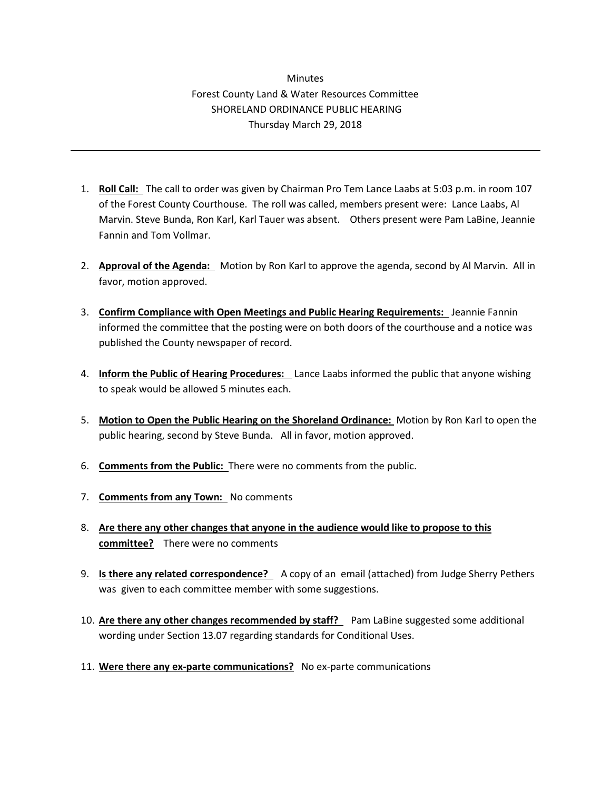## **Minutes** Forest County Land & Water Resources Committee SHORELAND ORDINANCE PUBLIC HEARING Thursday March 29, 2018

- 1. **Roll Call:** The call to order was given by Chairman Pro Tem Lance Laabs at 5:03 p.m. in room 107 of the Forest County Courthouse. The roll was called, members present were: Lance Laabs, Al Marvin. Steve Bunda, Ron Karl, Karl Tauer was absent. Others present were Pam LaBine, Jeannie Fannin and Tom Vollmar.
- 2. **Approval of the Agenda:** Motion by Ron Karl to approve the agenda, second by Al Marvin. All in favor, motion approved.
- 3. **Confirm Compliance with Open Meetings and Public Hearing Requirements:** Jeannie Fannin informed the committee that the posting were on both doors of the courthouse and a notice was published the County newspaper of record.
- 4. **Inform the Public of Hearing Procedures:** Lance Laabs informed the public that anyone wishing to speak would be allowed 5 minutes each.
- 5. **Motion to Open the Public Hearing on the Shoreland Ordinance:** Motion by Ron Karl to open the public hearing, second by Steve Bunda. All in favor, motion approved.
- 6. **Comments from the Public:** There were no comments from the public.
- 7. **Comments from any Town:** No comments
- 8. **Are there any other changes that anyone in the audience would like to propose to this committee?** There were no comments
- 9. **Is there any related correspondence?** A copy of an email (attached) from Judge Sherry Pethers was given to each committee member with some suggestions.
- 10. **Are there any other changes recommended by staff?** Pam LaBine suggested some additional wording under Section 13.07 regarding standards for Conditional Uses.
- 11. **Were there any ex-parte communications?** No ex-parte communications